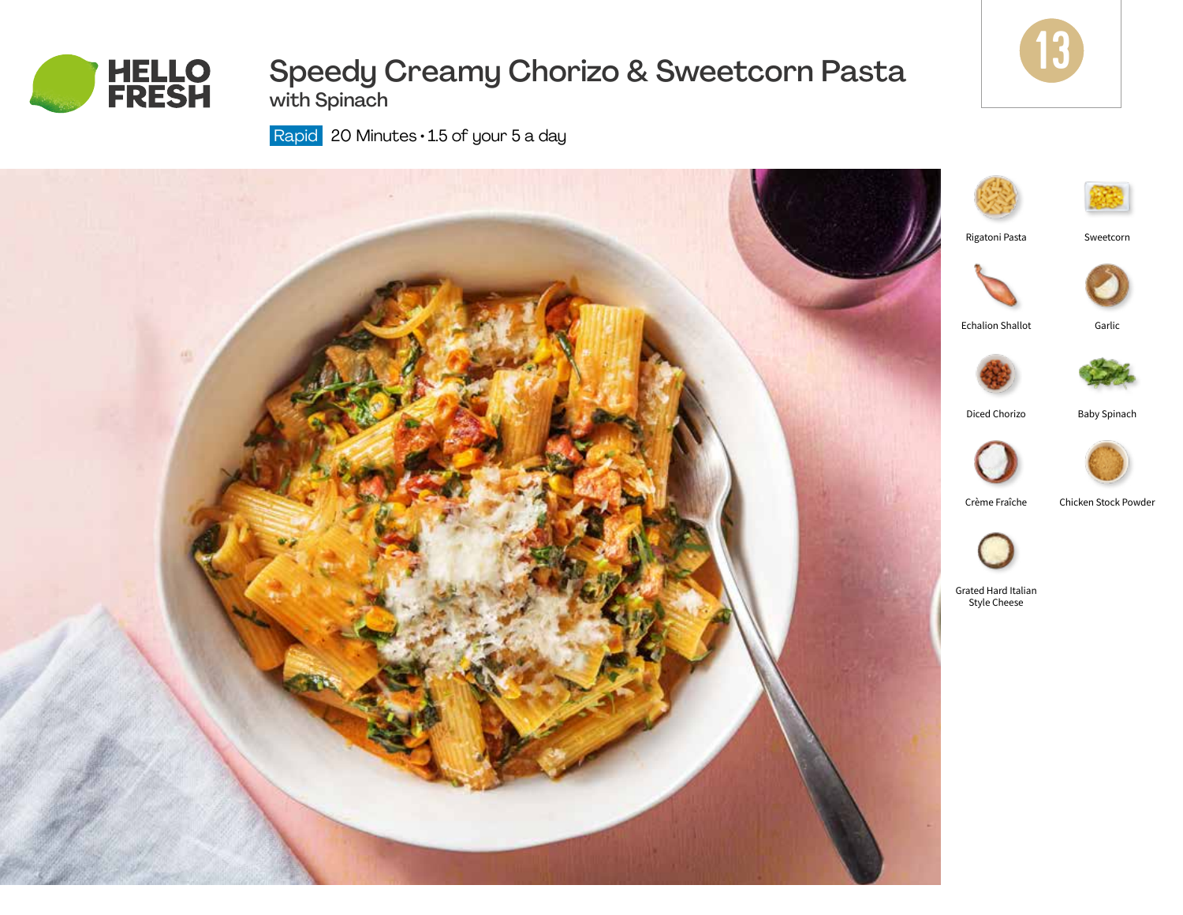

# Speedy Creamy Chorizo & Sweetcorn Pasta with Spinach



Rapid 20 Minutes · 1.5 of your 5 a day